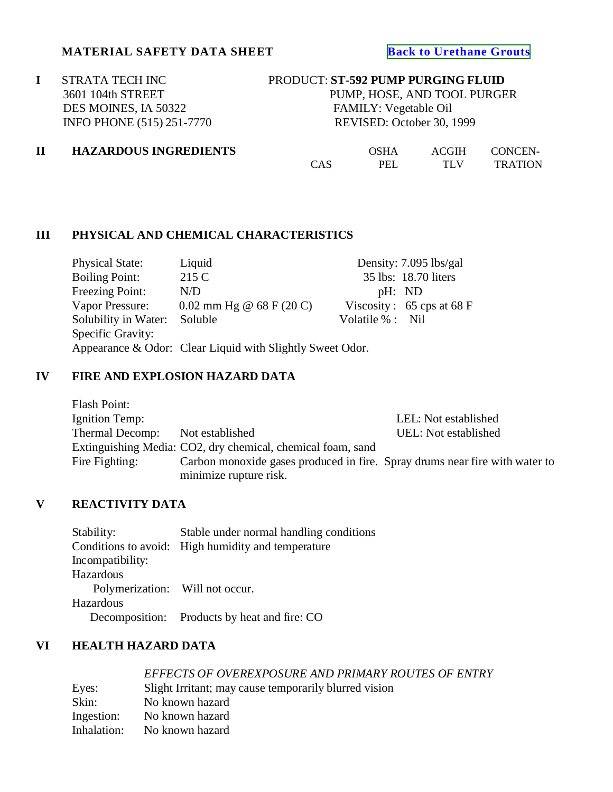## **MATERIAL SAFETY DATA SHEET [Back to Urethane Grouts](http://www.strata-tech.com/urethane.html#592)**

**I** STRATA TECH INC PRODUCT: **ST-592 PUMP PURGING FLUID**<br>3601 104th STREET PUMP, HOSE, AND TOOL PURGE DES MOINES, IA 50322 FAMILY: Vegetable Oil

PUMP, HOSE, AND TOOL PURGER INFO PHONE (515) 251-7770 REVISED: October 30, 1999

| $\mathbf{I}$ | <b>HAZARDOUS INGREDIENTS</b> | OSHA | ACGIH | CONCEN- |                |
|--------------|------------------------------|------|-------|---------|----------------|
|              |                              | CAS  | PEL   | TLV     | <b>TRATION</b> |

### **III PHYSICAL AND CHEMICAL CHARACTERISTICS**

| <b>Physical State:</b>                                    | Liquid                     |                  | Density: 7.095 lbs/gal                      |
|-----------------------------------------------------------|----------------------------|------------------|---------------------------------------------|
| <b>Boiling Point:</b>                                     | 215 C                      |                  | 35 lbs: 18.70 liters                        |
| Freezing Point:                                           | N/D                        | pH: ND           |                                             |
| Vapor Pressure:                                           | $0.02$ mm Hg @ 68 F (20 C) |                  | Viscosity: $65 \text{cps at } 68 \text{ F}$ |
| Solubility in Water:                                      | Soluble                    | Volatile % : Nil |                                             |
| Specific Gravity:                                         |                            |                  |                                             |
| Appearance & Odor: Clear Liquid with Slightly Sweet Odor. |                            |                  |                                             |

## **IV FIRE AND EXPLOSION HAZARD DATA**

| Flash Point:    |                                                                             |                      |
|-----------------|-----------------------------------------------------------------------------|----------------------|
| Ignition Temp:  |                                                                             | LEL: Not established |
| Thermal Decomp: | Not established                                                             | UEL: Not established |
|                 | Extinguishing Media: CO2, dry chemical, chemical foam, sand                 |                      |
| Fire Fighting:  | Carbon monoxide gases produced in fire. Spray drums near fire with water to |                      |
|                 | minimize rupture risk.                                                      |                      |

## **V REACTIVITY DATA**

|                                 | Stable under normal handling conditions                  |
|---------------------------------|----------------------------------------------------------|
|                                 | Conditions to avoid: High humidity and temperature       |
|                                 |                                                          |
|                                 |                                                          |
| Polymerization: Will not occur. |                                                          |
|                                 |                                                          |
|                                 | Decomposition: Products by heat and fire: CO             |
|                                 | Stability:<br>Incompatibility:<br>Hazardous<br>Hazardous |

## **VI HEALTH HAZARD DATA**

|             | EFFECTS OF OVEREXPOSURE AND PRIMARY ROUTES OF ENTRY   |
|-------------|-------------------------------------------------------|
| Eyes:       | Slight Irritant; may cause temporarily blurred vision |
| Skin:       | No known hazard                                       |
| Ingestion:  | No known hazard                                       |
| Inhalation: | No known hazard                                       |